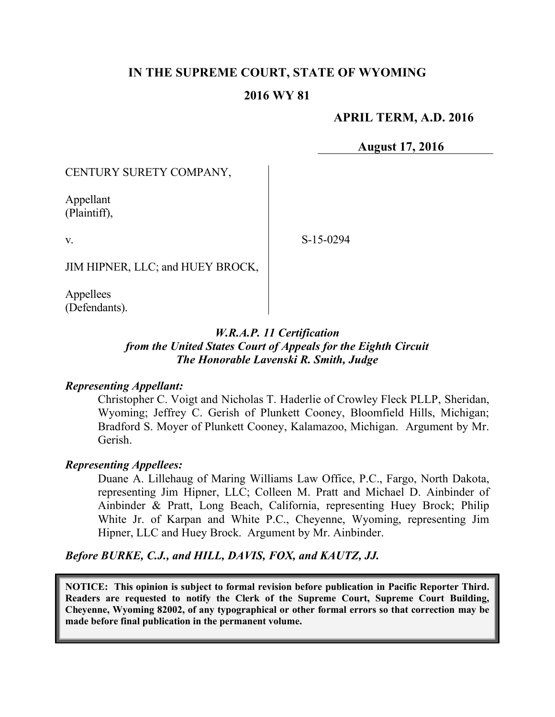# **IN THE SUPREME COURT, STATE OF WYOMING**

## **2016 WY 81**

## **APRIL TERM, A.D. 2016**

**August 17, 2016**

CENTURY SURETY COMPANY,

Appellant (Plaintiff),

v.

S-15-0294

JIM HIPNER, LLC; and HUEY BROCK,

Appellees (Defendants).

# *W.R.A.P. 11 Certification from the United States Court of Appeals for the Eighth Circuit The Honorable Lavenski R. Smith, Judge*

#### *Representing Appellant:*

Christopher C. Voigt and Nicholas T. Haderlie of Crowley Fleck PLLP, Sheridan, Wyoming; Jeffrey C. Gerish of Plunkett Cooney, Bloomfield Hills, Michigan; Bradford S. Moyer of Plunkett Cooney, Kalamazoo, Michigan. Argument by Mr. Gerish.

#### *Representing Appellees:*

Duane A. Lillehaug of Maring Williams Law Office, P.C., Fargo, North Dakota, representing Jim Hipner, LLC; Colleen M. Pratt and Michael D. Ainbinder of Ainbinder & Pratt, Long Beach, California, representing Huey Brock; Philip White Jr. of Karpan and White P.C., Cheyenne, Wyoming, representing Jim Hipner, LLC and Huey Brock. Argument by Mr. Ainbinder.

*Before BURKE, C.J., and HILL, DAVIS, FOX, and KAUTZ, JJ.*

**NOTICE: This opinion is subject to formal revision before publication in Pacific Reporter Third. Readers are requested to notify the Clerk of the Supreme Court, Supreme Court Building, Cheyenne, Wyoming 82002, of any typographical or other formal errors so that correction may be made before final publication in the permanent volume.**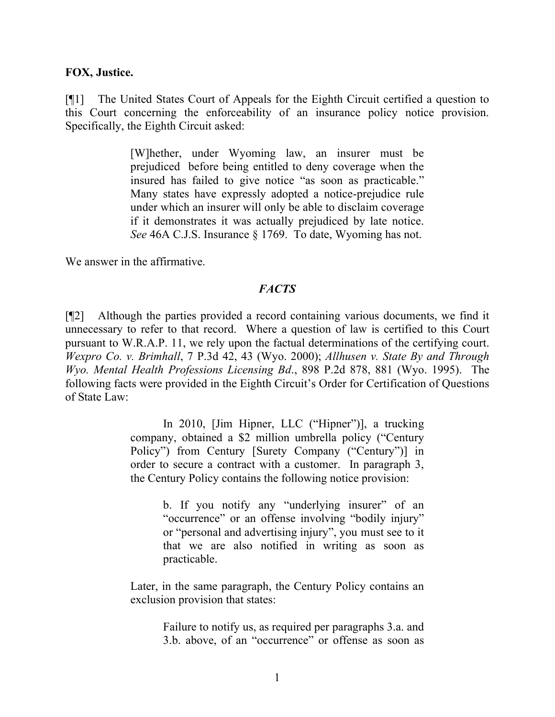#### **FOX, Justice.**

[¶1] The United States Court of Appeals for the Eighth Circuit certified a question to this Court concerning the enforceability of an insurance policy notice provision. Specifically, the Eighth Circuit asked:

> [W]hether, under Wyoming law, an insurer must be prejudiced before being entitled to deny coverage when the insured has failed to give notice "as soon as practicable." Many states have expressly adopted a notice-prejudice rule under which an insurer will only be able to disclaim coverage if it demonstrates it was actually prejudiced by late notice. *See* 46A C.J.S. Insurance § 1769. To date, Wyoming has not.

We answer in the affirmative.

#### *FACTS*

[¶2] Although the parties provided a record containing various documents, we find it unnecessary to refer to that record. Where a question of law is certified to this Court pursuant to W.R.A.P. 11, we rely upon the factual determinations of the certifying court. *Wexpro Co. v. Brimhall*, 7 P.3d 42, 43 (Wyo. 2000); *Allhusen v. State By and Through Wyo. Mental Health Professions Licensing Bd*., 898 P.2d 878, 881 (Wyo. 1995). The following facts were provided in the Eighth Circuit's Order for Certification of Questions of State Law:

> In 2010, [Jim Hipner, LLC ("Hipner")], a trucking company, obtained a \$2 million umbrella policy ("Century Policy") from Century [Surety Company ("Century")] in order to secure a contract with a customer. In paragraph 3, the Century Policy contains the following notice provision:

> > b. If you notify any "underlying insurer" of an "occurrence" or an offense involving "bodily injury" or "personal and advertising injury", you must see to it that we are also notified in writing as soon as practicable.

Later, in the same paragraph, the Century Policy contains an exclusion provision that states:

> Failure to notify us, as required per paragraphs 3.a. and 3.b. above, of an "occurrence" or offense as soon as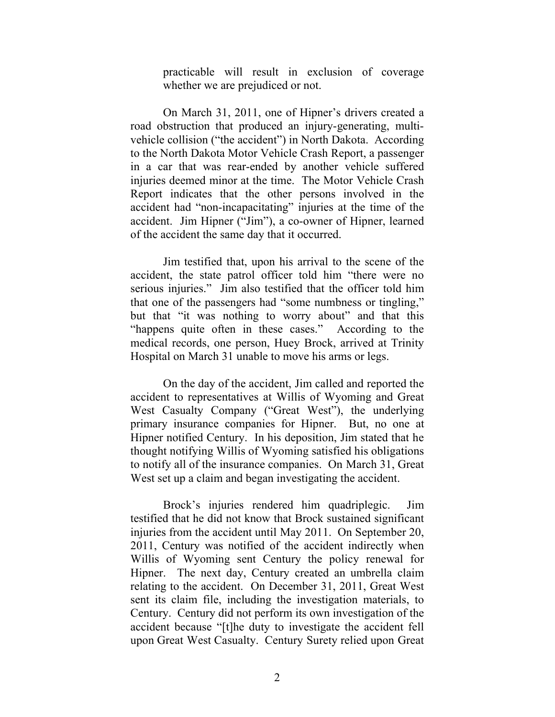practicable will result in exclusion of coverage whether we are prejudiced or not.

On March 31, 2011, one of Hipner's drivers created a road obstruction that produced an injury-generating, multivehicle collision ("the accident") in North Dakota. According to the North Dakota Motor Vehicle Crash Report, a passenger in a car that was rear-ended by another vehicle suffered injuries deemed minor at the time. The Motor Vehicle Crash Report indicates that the other persons involved in the accident had "non-incapacitating" injuries at the time of the accident. Jim Hipner ("Jim"), a co-owner of Hipner, learned of the accident the same day that it occurred.

Jim testified that, upon his arrival to the scene of the accident, the state patrol officer told him "there were no serious injuries." Jim also testified that the officer told him that one of the passengers had "some numbness or tingling," but that "it was nothing to worry about" and that this "happens quite often in these cases." According to the medical records, one person, Huey Brock, arrived at Trinity Hospital on March 31 unable to move his arms or legs.

On the day of the accident, Jim called and reported the accident to representatives at Willis of Wyoming and Great West Casualty Company ("Great West"), the underlying primary insurance companies for Hipner. But, no one at Hipner notified Century. In his deposition, Jim stated that he thought notifying Willis of Wyoming satisfied his obligations to notify all of the insurance companies. On March 31, Great West set up a claim and began investigating the accident.

Brock's injuries rendered him quadriplegic. Jim testified that he did not know that Brock sustained significant injuries from the accident until May 2011. On September 20, 2011, Century was notified of the accident indirectly when Willis of Wyoming sent Century the policy renewal for Hipner. The next day, Century created an umbrella claim relating to the accident. On December 31, 2011, Great West sent its claim file, including the investigation materials, to Century. Century did not perform its own investigation of the accident because "[t]he duty to investigate the accident fell upon Great West Casualty. Century Surety relied upon Great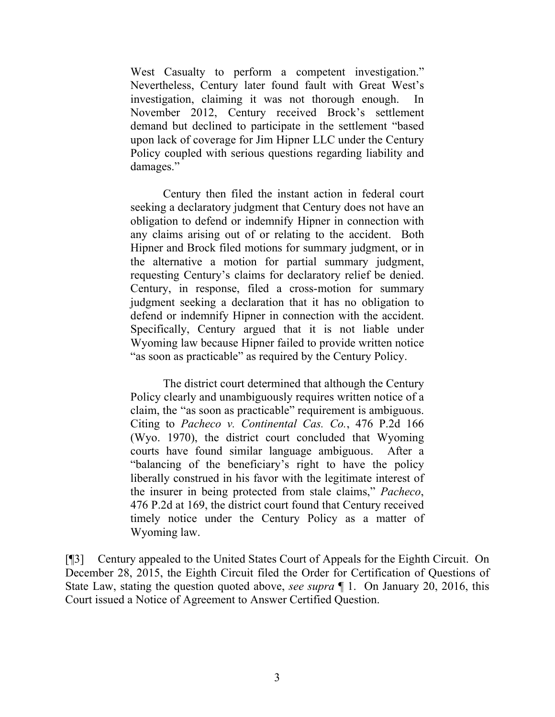West Casualty to perform a competent investigation." Nevertheless, Century later found fault with Great West's investigation, claiming it was not thorough enough. In November 2012, Century received Brock's settlement demand but declined to participate in the settlement "based upon lack of coverage for Jim Hipner LLC under the Century Policy coupled with serious questions regarding liability and damages."

Century then filed the instant action in federal court seeking a declaratory judgment that Century does not have an obligation to defend or indemnify Hipner in connection with any claims arising out of or relating to the accident. Both Hipner and Brock filed motions for summary judgment, or in the alternative a motion for partial summary judgment, requesting Century's claims for declaratory relief be denied. Century, in response, filed a cross-motion for summary judgment seeking a declaration that it has no obligation to defend or indemnify Hipner in connection with the accident. Specifically, Century argued that it is not liable under Wyoming law because Hipner failed to provide written notice "as soon as practicable" as required by the Century Policy.

The district court determined that although the Century Policy clearly and unambiguously requires written notice of a claim, the "as soon as practicable" requirement is ambiguous. Citing to *Pacheco v. Continental Cas. Co.*, 476 P.2d 166 (Wyo. 1970), the district court concluded that Wyoming courts have found similar language ambiguous. After a "balancing of the beneficiary's right to have the policy liberally construed in his favor with the legitimate interest of the insurer in being protected from stale claims," *Pacheco*, 476 P.2d at 169, the district court found that Century received timely notice under the Century Policy as a matter of Wyoming law.

[¶3] Century appealed to the United States Court of Appeals for the Eighth Circuit. On December 28, 2015, the Eighth Circuit filed the Order for Certification of Questions of State Law, stating the question quoted above, *see supra* ¶ 1. On January 20, 2016, this Court issued a Notice of Agreement to Answer Certified Question.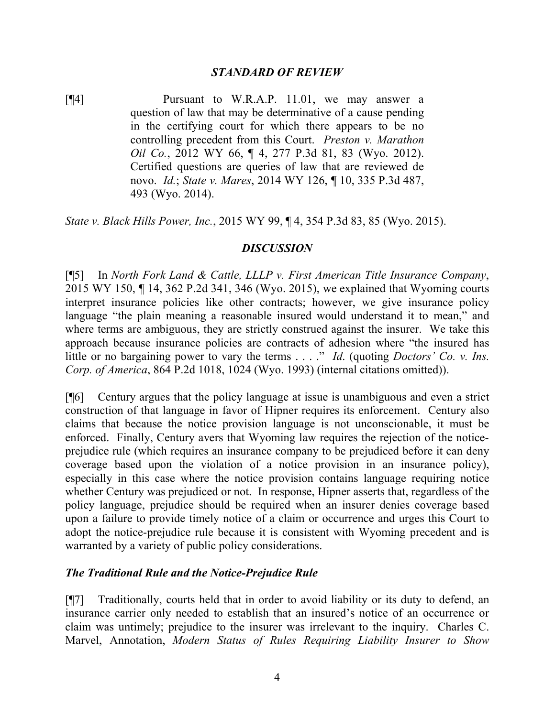### *STANDARD OF REVIEW*

[¶4] Pursuant to W.R.A.P. 11.01, we may answer a question of law that may be determinative of a cause pending in the certifying court for which there appears to be no controlling precedent from this Court. *Preston v. Marathon Oil Co.*, 2012 WY 66, ¶ 4, 277 P.3d 81, 83 (Wyo. 2012). Certified questions are queries of law that are reviewed de novo. *Id.*; *State v. Mares*, 2014 WY 126, ¶ 10, 335 P.3d 487, 493 (Wyo. 2014).

*State v. Black Hills Power, Inc.*, 2015 WY 99, ¶ 4, 354 P.3d 83, 85 (Wyo. 2015).

## *DISCUSSION*

[¶5] In *North Fork Land & Cattle, LLLP v. First American Title Insurance Company*, 2015 WY 150, ¶ 14, 362 P.2d 341, 346 (Wyo. 2015), we explained that Wyoming courts interpret insurance policies like other contracts; however, we give insurance policy language "the plain meaning a reasonable insured would understand it to mean," and where terms are ambiguous, they are strictly construed against the insurer. We take this approach because insurance policies are contracts of adhesion where "the insured has little or no bargaining power to vary the terms . . . ." *Id*. (quoting *Doctors' Co. v. Ins. Corp. of America*, 864 P.2d 1018, 1024 (Wyo. 1993) (internal citations omitted)).

[¶6] Century argues that the policy language at issue is unambiguous and even a strict construction of that language in favor of Hipner requires its enforcement. Century also claims that because the notice provision language is not unconscionable, it must be enforced. Finally, Century avers that Wyoming law requires the rejection of the noticeprejudice rule (which requires an insurance company to be prejudiced before it can deny coverage based upon the violation of a notice provision in an insurance policy), especially in this case where the notice provision contains language requiring notice whether Century was prejudiced or not. In response, Hipner asserts that, regardless of the policy language, prejudice should be required when an insurer denies coverage based upon a failure to provide timely notice of a claim or occurrence and urges this Court to adopt the notice-prejudice rule because it is consistent with Wyoming precedent and is warranted by a variety of public policy considerations.

### *The Traditional Rule and the Notice-Prejudice Rule*

[¶7] Traditionally, courts held that in order to avoid liability or its duty to defend, an insurance carrier only needed to establish that an insured's notice of an occurrence or claim was untimely; prejudice to the insurer was irrelevant to the inquiry. Charles C. Marvel, Annotation, *Modern Status of Rules Requiring Liability Insurer to Show*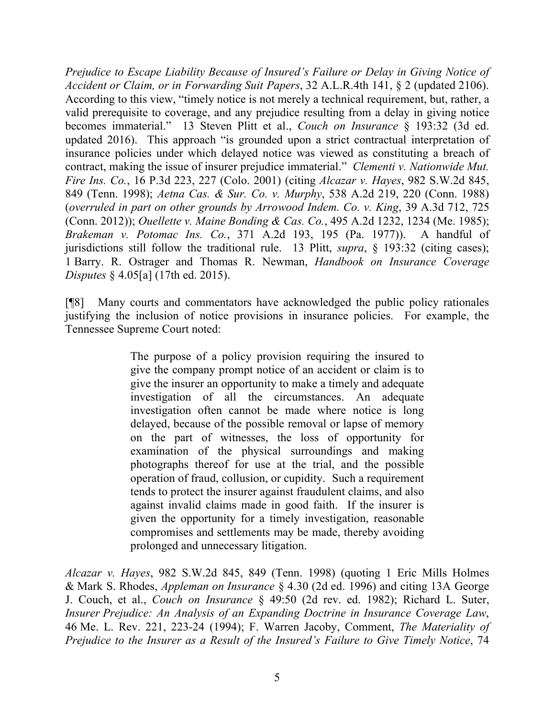*Prejudice to Escape Liability Because of Insured's Failure or Delay in Giving Notice of Accident or Claim, or in Forwarding Suit Papers*, 32 A.L.R.4th 141, § 2 (updated 2106). According to this view, "timely notice is not merely a technical requirement, but, rather, a valid prerequisite to coverage, and any prejudice resulting from a delay in giving notice becomes immaterial." 13 Steven Plitt et al., *Couch on Insurance* § 193:32 (3d ed. updated 2016). This approach "is grounded upon a strict contractual interpretation of insurance policies under which delayed notice was viewed as constituting a breach of contract, making the issue of insurer prejudice immaterial." *Clementi v. Nationwide Mut. Fire Ins. Co.*, 16 P.3d 223, 227 (Colo. 2001) (citing *Alcazar v. Hayes*, 982 S.W.2d 845, 849 (Tenn. 1998); *Aetna Cas. & Sur. Co. v. Murphy*, 538 A.2d 219, 220 (Conn. 1988) (*overruled in part on other grounds by Arrowood Indem. Co. v. King*, 39 A.3d 712, 725 (Conn. 2012)); *Ouellette v. Maine Bonding & Cas. Co.*, 495 A.2d 1232, 1234 (Me. 1985); *Brakeman v. Potomac Ins. Co.*, 371 A.2d 193, 195 (Pa. 1977)). A handful of jurisdictions still follow the traditional rule. 13 Plitt, *supra*, § 193:32 (citing cases); 1 Barry. R. Ostrager and Thomas R. Newman, *Handbook on Insurance Coverage Disputes* § 4.05[a] (17th ed. 2015).

[¶8] Many courts and commentators have acknowledged the public policy rationales justifying the inclusion of notice provisions in insurance policies. For example, the Tennessee Supreme Court noted:

> The purpose of a policy provision requiring the insured to give the company prompt notice of an accident or claim is to give the insurer an opportunity to make a timely and adequate investigation of all the circumstances. An adequate investigation often cannot be made where notice is long delayed, because of the possible removal or lapse of memory on the part of witnesses, the loss of opportunity for examination of the physical surroundings and making photographs thereof for use at the trial, and the possible operation of fraud, collusion, or cupidity. Such a requirement tends to protect the insurer against fraudulent claims, and also against invalid claims made in good faith. If the insurer is given the opportunity for a timely investigation, reasonable compromises and settlements may be made, thereby avoiding prolonged and unnecessary litigation.

*Alcazar v. Hayes*, 982 S.W.2d 845, 849 (Tenn. 1998) (quoting 1 Eric Mills Holmes & Mark S. Rhodes, *Appleman on Insurance* § 4.30 (2d ed. 1996) and citing 13A George J. Couch, et al., *Couch on Insurance* § 49:50 (2d rev. ed. 1982); Richard L. Suter, *Insurer Prejudice: An Analysis of an Expanding Doctrine in Insurance Coverage Law*, 46 Me. L. Rev. 221, 223-24 (1994); F. Warren Jacoby, Comment, *The Materiality of Prejudice to the Insurer as a Result of the Insured's Failure to Give Timely Notice*, 74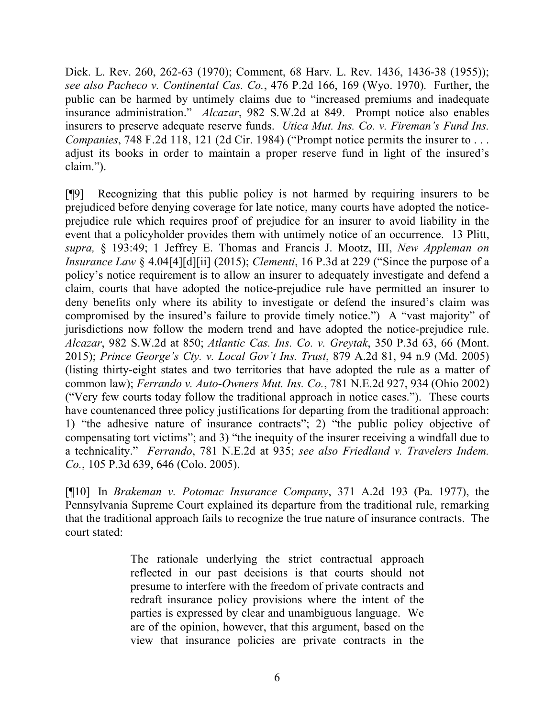Dick. L. Rev. 260, 262-63 (1970); Comment, 68 Harv. L. Rev. 1436, 1436-38 (1955)); *see also Pacheco v. Continental Cas. Co.*, 476 P.2d 166, 169 (Wyo. 1970). Further, the public can be harmed by untimely claims due to "increased premiums and inadequate insurance administration." *Alcazar*, 982 S.W.2d at 849. Prompt notice also enables insurers to preserve adequate reserve funds. *Utica Mut. Ins. Co. v. Fireman's Fund Ins. Companies*, 748 F.2d 118, 121 (2d Cir. 1984) ("Prompt notice permits the insurer to . . . adjust its books in order to maintain a proper reserve fund in light of the insured's claim.").

[¶9] Recognizing that this public policy is not harmed by requiring insurers to be prejudiced before denying coverage for late notice, many courts have adopted the noticeprejudice rule which requires proof of prejudice for an insurer to avoid liability in the event that a policyholder provides them with untimely notice of an occurrence. 13 Plitt, *supra,* § 193:49; 1 Jeffrey E. Thomas and Francis J. Mootz, III, *New Appleman on Insurance Law* § 4.04[4][d][ii] (2015); *Clementi*, 16 P.3d at 229 ("Since the purpose of a policy's notice requirement is to allow an insurer to adequately investigate and defend a claim, courts that have adopted the notice-prejudice rule have permitted an insurer to deny benefits only where its ability to investigate or defend the insured's claim was compromised by the insured's failure to provide timely notice.") A "vast majority" of jurisdictions now follow the modern trend and have adopted the notice-prejudice rule. *Alcazar*, 982 S.W.2d at 850; *Atlantic Cas. Ins. Co. v. Greytak*, 350 P.3d 63, 66 (Mont. 2015); *Prince George's Cty. v. Local Gov't Ins. Trust*, 879 A.2d 81, 94 n.9 (Md. 2005) (listing thirty-eight states and two territories that have adopted the rule as a matter of common law); *Ferrando v. Auto-Owners Mut. Ins. Co.*, 781 N.E.2d 927, 934 (Ohio 2002) ("Very few courts today follow the traditional approach in notice cases."). These courts have countenanced three policy justifications for departing from the traditional approach: 1) "the adhesive nature of insurance contracts"; 2) "the public policy objective of compensating tort victims"; and 3) "the inequity of the insurer receiving a windfall due to a technicality." *Ferrando*, 781 N.E.2d at 935; *see also Friedland v. Travelers Indem. Co.*, 105 P.3d 639, 646 (Colo. 2005).

[¶10] In *Brakeman v. Potomac Insurance Company*, 371 A.2d 193 (Pa. 1977), the Pennsylvania Supreme Court explained its departure from the traditional rule, remarking that the traditional approach fails to recognize the true nature of insurance contracts. The court stated:

> The rationale underlying the strict contractual approach reflected in our past decisions is that courts should not presume to interfere with the freedom of private contracts and redraft insurance policy provisions where the intent of the parties is expressed by clear and unambiguous language. We are of the opinion, however, that this argument, based on the view that insurance policies are private contracts in the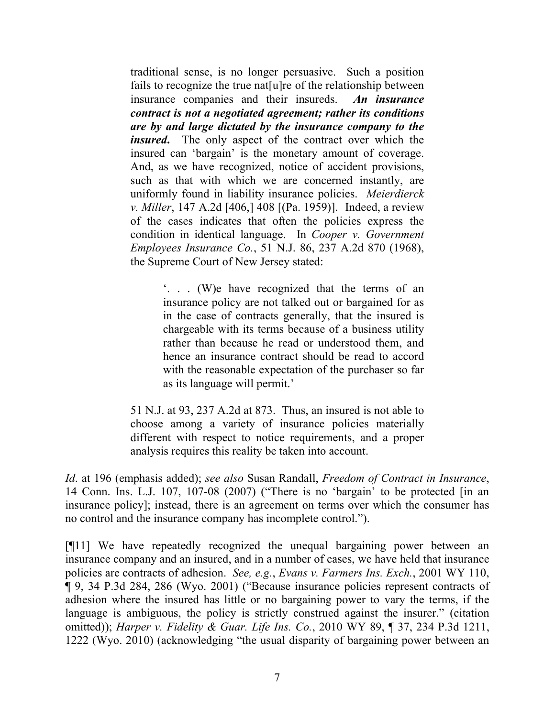traditional sense, is no longer persuasive. Such a position fails to recognize the true nat[u]re of the relationship between insurance companies and their insureds. *An insurance contract is not a negotiated agreement; rather its conditions are by and large dictated by the insurance company to the insured***.** The only aspect of the contract over which the insured can 'bargain' is the monetary amount of coverage. And, as we have recognized, notice of accident provisions, such as that with which we are concerned instantly, are uniformly found in liability insurance policies. *Meierdierck v. Miller*, 147 A.2d [406,] 408 [(Pa. 1959)]. Indeed, a review of the cases indicates that often the policies express the condition in identical language. In *Cooper v. Government Employees Insurance Co.*, 51 N.J. 86, 237 A.2d 870 (1968), the Supreme Court of New Jersey stated:

> '. . . (W)e have recognized that the terms of an insurance policy are not talked out or bargained for as in the case of contracts generally, that the insured is chargeable with its terms because of a business utility rather than because he read or understood them, and hence an insurance contract should be read to accord with the reasonable expectation of the purchaser so far as its language will permit.'

51 N.J. at 93, 237 A.2d at 873. Thus, an insured is not able to choose among a variety of insurance policies materially different with respect to notice requirements, and a proper analysis requires this reality be taken into account.

*Id*. at 196 (emphasis added); *see also* Susan Randall, *Freedom of Contract in Insurance*, 14 Conn. Ins. L.J. 107, 107-08 (2007) ("There is no 'bargain' to be protected [in an insurance policy]; instead, there is an agreement on terms over which the consumer has no control and the insurance company has incomplete control.").

[¶11] We have repeatedly recognized the unequal bargaining power between an insurance company and an insured, and in a number of cases, we have held that insurance policies are contracts of adhesion. *See, e.g.*, *Evans v. Farmers Ins. Exch.*, 2001 WY 110, ¶ 9, 34 P.3d 284, 286 (Wyo. 2001) ("Because insurance policies represent contracts of adhesion where the insured has little or no bargaining power to vary the terms, if the language is ambiguous, the policy is strictly construed against the insurer." (citation omitted)); *Harper v. Fidelity & Guar. Life Ins. Co.*, 2010 WY 89, ¶ 37, 234 P.3d 1211, 1222 (Wyo. 2010) (acknowledging "the usual disparity of bargaining power between an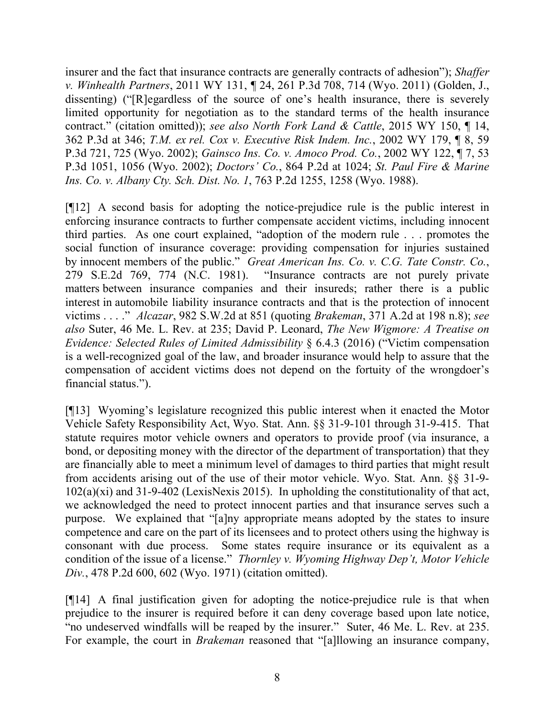insurer and the fact that insurance contracts are generally contracts of adhesion"); *Shaffer v. Winhealth Partners*, 2011 WY 131, ¶ 24, 261 P.3d 708, 714 (Wyo. 2011) (Golden, J., dissenting) ("[R]egardless of the source of one's health insurance, there is severely limited opportunity for negotiation as to the standard terms of the health insurance contract." (citation omitted)); *see also North Fork Land & Cattle*, 2015 WY 150, ¶ 14, 362 P.3d at 346; *T.M. ex rel. Cox v. Executive Risk Indem. Inc.*, 2002 WY 179, ¶ 8, 59 P.3d 721, 725 (Wyo. 2002); *Gainsco Ins. Co. v. Amoco Prod. Co.*, 2002 WY 122, ¶ 7, 53 P.3d 1051, 1056 (Wyo. 2002); *Doctors' Co.*, 864 P.2d at 1024; *St. Paul Fire & Marine Ins. Co. v. Albany Cty. Sch. Dist. No. 1*, 763 P.2d 1255, 1258 (Wyo. 1988).

[¶12] A second basis for adopting the notice-prejudice rule is the public interest in enforcing insurance contracts to further compensate accident victims, including innocent third parties. As one court explained, "adoption of the modern rule . . . promotes the social function of insurance coverage: providing compensation for injuries sustained by innocent members of the public." *Great American Ins. Co. v. C.G. Tate Constr. Co.*, 279 S.E.2d 769, 774 (N.C. 1981). "Insurance contracts are not purely private matters between insurance companies and their insureds; rather there is a public interest in automobile liability insurance contracts and that is the protection of innocent victims . . . ." *Alcazar*, 982 S.W.2d at 851 (quoting *Brakeman*, 371 A.2d at 198 n.8); *see also* Suter, 46 Me. L. Rev. at 235; David P. Leonard, *The New Wigmore: A Treatise on Evidence: Selected Rules of Limited Admissibility* § 6.4.3 (2016) ("Victim compensation is a well-recognized goal of the law, and broader insurance would help to assure that the compensation of accident victims does not depend on the fortuity of the wrongdoer's financial status.").

[¶13] Wyoming's legislature recognized this public interest when it enacted the Motor Vehicle Safety Responsibility Act, Wyo. Stat. Ann. §§ 31-9-101 through 31-9-415. That statute requires motor vehicle owners and operators to provide proof (via insurance, a bond, or depositing money with the director of the department of transportation) that they are financially able to meet a minimum level of damages to third parties that might result from accidents arising out of the use of their motor vehicle. Wyo. Stat. Ann.  $\S$ § 31-9-102(a)(xi) and 31-9-402 (LexisNexis 2015). In upholding the constitutionality of that act, we acknowledged the need to protect innocent parties and that insurance serves such a purpose. We explained that "[a]ny appropriate means adopted by the states to insure competence and care on the part of its licensees and to protect others using the highway is consonant with due process. Some states require insurance or its equivalent as a condition of the issue of a license." *Thornley v. Wyoming Highway Dep't, Motor Vehicle Div.*, 478 P.2d 600, 602 (Wyo. 1971) (citation omitted).

[¶14] A final justification given for adopting the notice-prejudice rule is that when prejudice to the insurer is required before it can deny coverage based upon late notice, "no undeserved windfalls will be reaped by the insurer." Suter, 46 Me. L. Rev. at 235. For example, the court in *Brakeman* reasoned that "[a]llowing an insurance company,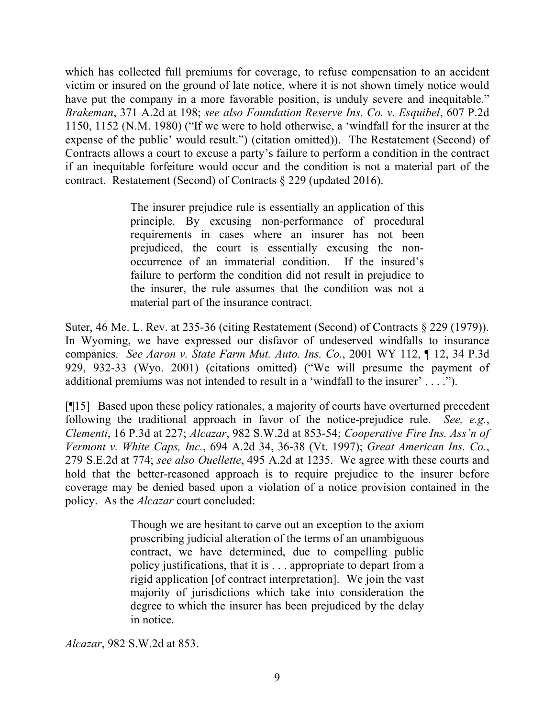which has collected full premiums for coverage, to refuse compensation to an accident victim or insured on the ground of late notice, where it is not shown timely notice would have put the company in a more favorable position, is unduly severe and inequitable." *Brakeman*, 371 A.2d at 198; *see also Foundation Reserve Ins. Co. v. Esquibel*, 607 P.2d 1150, 1152 (N.M. 1980) ("If we were to hold otherwise, a 'windfall for the insurer at the expense of the public' would result.") (citation omitted)). The Restatement (Second) of Contracts allows a court to excuse a party's failure to perform a condition in the contract if an inequitable forfeiture would occur and the condition is not a material part of the contract. Restatement (Second) of Contracts § 229 (updated 2016).

> The insurer prejudice rule is essentially an application of this principle. By excusing non-performance of procedural requirements in cases where an insurer has not been prejudiced, the court is essentially excusing the nonoccurrence of an immaterial condition. If the insured's failure to perform the condition did not result in prejudice to the insurer, the rule assumes that the condition was not a material part of the insurance contract.

Suter, 46 Me. L. Rev. at 235-36 (citing Restatement (Second) of Contracts § 229 (1979)). In Wyoming, we have expressed our disfavor of undeserved windfalls to insurance companies. *See Aaron v. State Farm Mut. Auto. Ins. Co.*, 2001 WY 112, ¶ 12, 34 P.3d 929, 932-33 (Wyo. 2001) (citations omitted) ("We will presume the payment of additional premiums was not intended to result in a 'windfall to the insurer' . . . .").

[¶15] Based upon these policy rationales, a majority of courts have overturned precedent following the traditional approach in favor of the notice-prejudice rule. *See, e.g.*, *Clementi*, 16 P.3d at 227; *Alcazar*, 982 S.W.2d at 853-54; *Cooperative Fire Ins. Ass'n of Vermont v. White Caps, Inc.*, 694 A.2d 34, 36-38 (Vt. 1997); *Great American Ins. Co.*, 279 S.E.2d at 774; *see also Ouellette*, 495 A.2d at 1235. We agree with these courts and hold that the better-reasoned approach is to require prejudice to the insurer before coverage may be denied based upon a violation of a notice provision contained in the policy. As the *Alcazar* court concluded:

> Though we are hesitant to carve out an exception to the axiom proscribing judicial alteration of the terms of an unambiguous contract, we have determined, due to compelling public policy justifications, that it is . . . appropriate to depart from a rigid application [of contract interpretation]. We join the vast majority of jurisdictions which take into consideration the degree to which the insurer has been prejudiced by the delay in notice.

*Alcazar*, 982 S.W.2d at 853.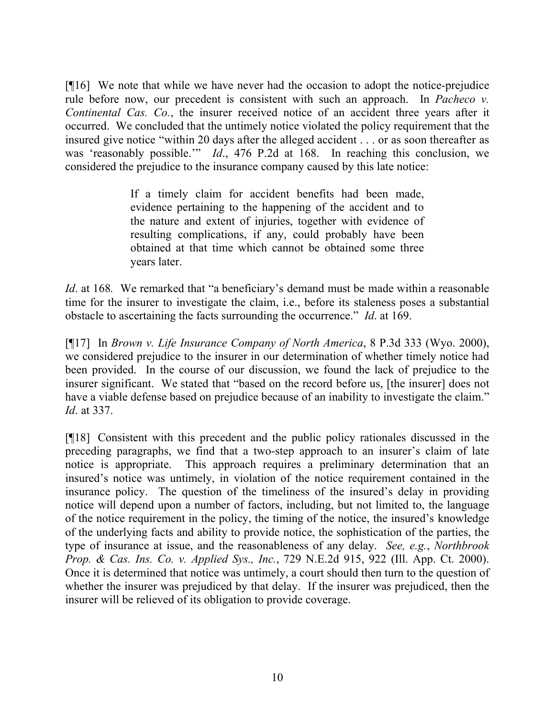[¶16] We note that while we have never had the occasion to adopt the notice-prejudice rule before now, our precedent is consistent with such an approach. In *Pacheco v. Continental Cas. Co.*, the insurer received notice of an accident three years after it occurred. We concluded that the untimely notice violated the policy requirement that the insured give notice "within 20 days after the alleged accident . . . or as soon thereafter as was 'reasonably possible.'" *Id*., 476 P.2d at 168. In reaching this conclusion, we considered the prejudice to the insurance company caused by this late notice:

> If a timely claim for accident benefits had been made, evidence pertaining to the happening of the accident and to the nature and extent of injuries, together with evidence of resulting complications, if any, could probably have been obtained at that time which cannot be obtained some three years later.

*Id*. at 168*.* We remarked that "a beneficiary's demand must be made within a reasonable time for the insurer to investigate the claim, i.e., before its staleness poses a substantial obstacle to ascertaining the facts surrounding the occurrence." *Id*. at 169.

[¶17] In *Brown v. Life Insurance Company of North America*, 8 P.3d 333 (Wyo. 2000), we considered prejudice to the insurer in our determination of whether timely notice had been provided. In the course of our discussion, we found the lack of prejudice to the insurer significant. We stated that "based on the record before us, [the insurer] does not have a viable defense based on prejudice because of an inability to investigate the claim." *Id*. at 337.

[¶18] Consistent with this precedent and the public policy rationales discussed in the preceding paragraphs, we find that a two-step approach to an insurer's claim of late notice is appropriate. This approach requires a preliminary determination that an insured's notice was untimely, in violation of the notice requirement contained in the insurance policy. The question of the timeliness of the insured's delay in providing notice will depend upon a number of factors, including, but not limited to, the language of the notice requirement in the policy, the timing of the notice, the insured's knowledge of the underlying facts and ability to provide notice, the sophistication of the parties, the type of insurance at issue, and the reasonableness of any delay. *See, e.g.*, *Northbrook Prop. & Cas. Ins. Co. v. Applied Sys., Inc.*, 729 N.E.2d 915, 922 (Ill. App. Ct. 2000). Once it is determined that notice was untimely, a court should then turn to the question of whether the insurer was prejudiced by that delay. If the insurer was prejudiced, then the insurer will be relieved of its obligation to provide coverage.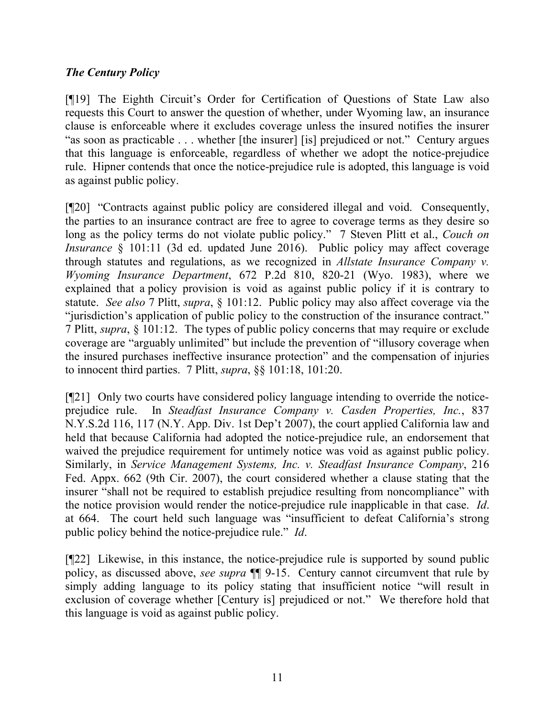# *The Century Policy*

[¶19] The Eighth Circuit's Order for Certification of Questions of State Law also requests this Court to answer the question of whether, under Wyoming law, an insurance clause is enforceable where it excludes coverage unless the insured notifies the insurer "as soon as practicable . . . whether [the insurer] [is] prejudiced or not." Century argues that this language is enforceable, regardless of whether we adopt the notice-prejudice rule. Hipner contends that once the notice-prejudice rule is adopted, this language is void as against public policy.

[¶20] "Contracts against public policy are considered illegal and void. Consequently, the parties to an insurance contract are free to agree to coverage terms as they desire so long as the policy terms do not violate public policy." 7 Steven Plitt et al., *Couch on Insurance* § 101:11 (3d ed. updated June 2016). Public policy may affect coverage through statutes and regulations, as we recognized in *Allstate Insurance Company v. Wyoming Insurance Department*, 672 P.2d 810, 820-21 (Wyo. 1983), where we explained that a policy provision is void as against public policy if it is contrary to statute. *See also* 7 Plitt, *supra*, § 101:12. Public policy may also affect coverage via the "jurisdiction's application of public policy to the construction of the insurance contract." 7 Plitt, *supra*, § 101:12. The types of public policy concerns that may require or exclude coverage are "arguably unlimited" but include the prevention of "illusory coverage when the insured purchases ineffective insurance protection" and the compensation of injuries to innocent third parties. 7 Plitt, *supra*, §§ 101:18, 101:20.

[¶21] Only two courts have considered policy language intending to override the noticeprejudice rule. In *Steadfast Insurance Company v. Casden Properties, Inc.*, 837 N.Y.S.2d 116, 117 (N.Y. App. Div. 1st Dep't 2007), the court applied California law and held that because California had adopted the notice-prejudice rule, an endorsement that waived the prejudice requirement for untimely notice was void as against public policy. Similarly, in *Service Management Systems, Inc. v. Steadfast Insurance Company*, 216 Fed. Appx. 662 (9th Cir. 2007), the court considered whether a clause stating that the insurer "shall not be required to establish prejudice resulting from noncompliance" with the notice provision would render the notice-prejudice rule inapplicable in that case. *Id*. at 664. The court held such language was "insufficient to defeat California's strong public policy behind the notice-prejudice rule." *Id*.

[¶22] Likewise, in this instance, the notice-prejudice rule is supported by sound public policy, as discussed above, *see supra* ¶¶ 9-15. Century cannot circumvent that rule by simply adding language to its policy stating that insufficient notice "will result in exclusion of coverage whether [Century is] prejudiced or not." We therefore hold that this language is void as against public policy.